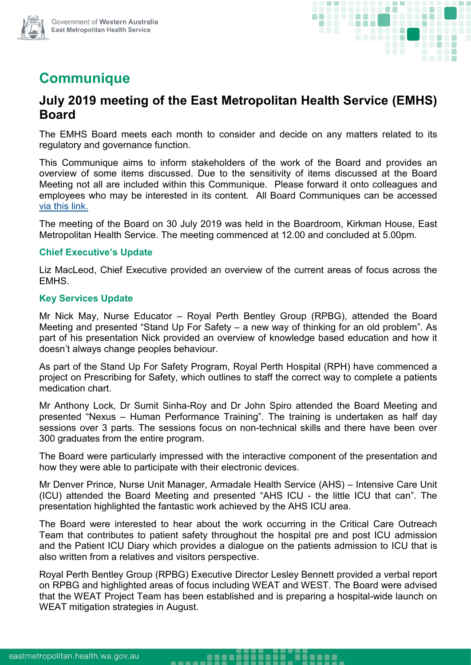



# **Communique**

# **July 2019 meeting of the East Metropolitan Health Service (EMHS) Board**

The EMHS Board meets each month to consider and decide on any matters related to its regulatory and governance function.

This Communique aims to inform stakeholders of the work of the Board and provides an overview of some items discussed. Due to the sensitivity of items discussed at the Board Meeting not all are included within this Communique. Please forward it onto colleagues and employees who may be interested in its content. All Board Communiques can be accessed [via this link.](https://emhs.health.wa.gov.au/About-Us/Health-Service-Board)

The meeting of the Board on 30 July 2019 was held in the Boardroom, Kirkman House, East Metropolitan Health Service. The meeting commenced at 12.00 and concluded at 5.00pm.

## **Chief Executive's Update**

Liz MacLeod, Chief Executive provided an overview of the current areas of focus across the EMHS.

# **Key Services Update**

Mr Nick May, Nurse Educator – Royal Perth Bentley Group (RPBG), attended the Board Meeting and presented "Stand Up For Safety – a new way of thinking for an old problem". As part of his presentation Nick provided an overview of knowledge based education and how it doesn't always change peoples behaviour.

As part of the Stand Up For Safety Program, Royal Perth Hospital (RPH) have commenced a project on Prescribing for Safety, which outlines to staff the correct way to complete a patients medication chart.

Mr Anthony Lock, Dr Sumit Sinha-Roy and Dr John Spiro attended the Board Meeting and presented "Nexus – Human Performance Training". The training is undertaken as half day sessions over 3 parts. The sessions focus on non-technical skills and there have been over 300 graduates from the entire program.

The Board were particularly impressed with the interactive component of the presentation and how they were able to participate with their electronic devices.

Mr Denver Prince, Nurse Unit Manager, Armadale Health Service (AHS) – Intensive Care Unit (ICU) attended the Board Meeting and presented "AHS ICU - the little ICU that can". The presentation highlighted the fantastic work achieved by the AHS ICU area.

The Board were interested to hear about the work occurring in the Critical Care Outreach Team that contributes to patient safety throughout the hospital pre and post ICU admission and the Patient ICU Diary which provides a dialogue on the patients admission to ICU that is also written from a relatives and visitors perspective.

Royal Perth Bentley Group (RPBG) Executive Director Lesley Bennett provided a verbal report on RPBG and highlighted areas of focus including WEAT and WEST. The Board were advised that the WEAT Project Team has been established and is preparing a hospital-wide launch on WEAT mitigation strategies in August.

........

-----